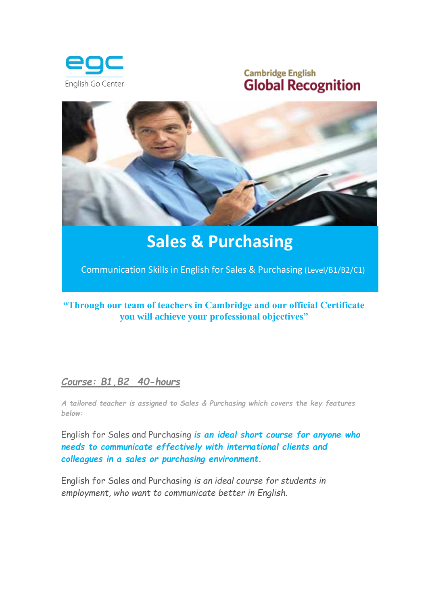

# **Cambridge English Global Recognition**



# **Sales & Purchasing**

Communication Skills in English for Sales & Purchasing (Level/B1/B2/C1)

# **"Through our team of teachers in Cambridge and our official Certificate you will achieve your professional objectives"**

# *Course: B1,B2 40-hours*

*A tailored teacher is assigned to Sales & Purchasing which covers the key features below:*

English for Sales and Purchasing *is an ideal short course for anyone who needs to communicate effectively with international clients and colleagues in a sales or purchasing environment.*

English for Sales and Purchasing *is an ideal course for students in employment, who want to communicate better in English.*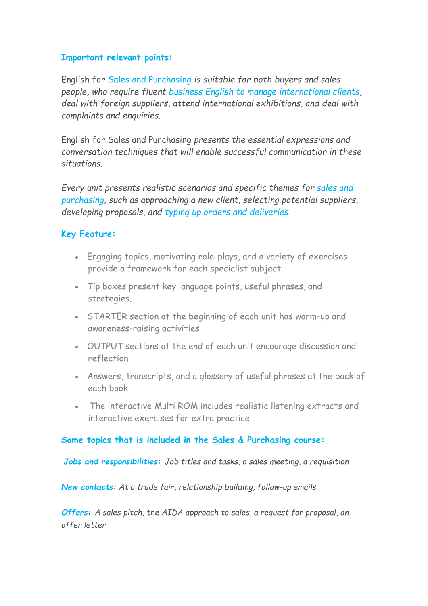#### **Important relevant points:**

English for Sales and Purchasing *is suitable for both buyers and sales people, who require fluent business English to manage international clients, deal with foreign suppliers, attend international exhibitions, and deal with complaints and enquiries.*

English for Sales and Purchasing *presents the essential expressions and conversation techniques that will enable successful communication in these situations.*

*Every unit presents realistic scenarios and specific themes for sales and purchasing, such as approaching a new client, selecting potential suppliers, developing proposals, and typing up orders and deliveries.*

### **Key Feature:**

- Engaging topics, motivating role-plays, and a variety of exercises provide a framework for each specialist subject
- Tip boxes present key language points, useful phrases, and strategies.
- STARTER section at the beginning of each unit has warm-up and awareness-raising activities
- OUTPUT sections at the end of each unit encourage discussion and reflection
- Answers, transcripts, and a glossary of useful phrases at the back of each book
- The interactive Multi ROM includes realistic listening extracts and interactive exercises for extra practice

### **Some topics that is included in the Sales & Purchasing course:**

*Jobs and responsibilities: Job titles and tasks, a sales meeting, a requisition*

*New contacts: At a trade fair, relationship building, follow-up emails*

*Offers: A sales pitch, the AIDA approach to sales, a request for proposal, an offer letter*